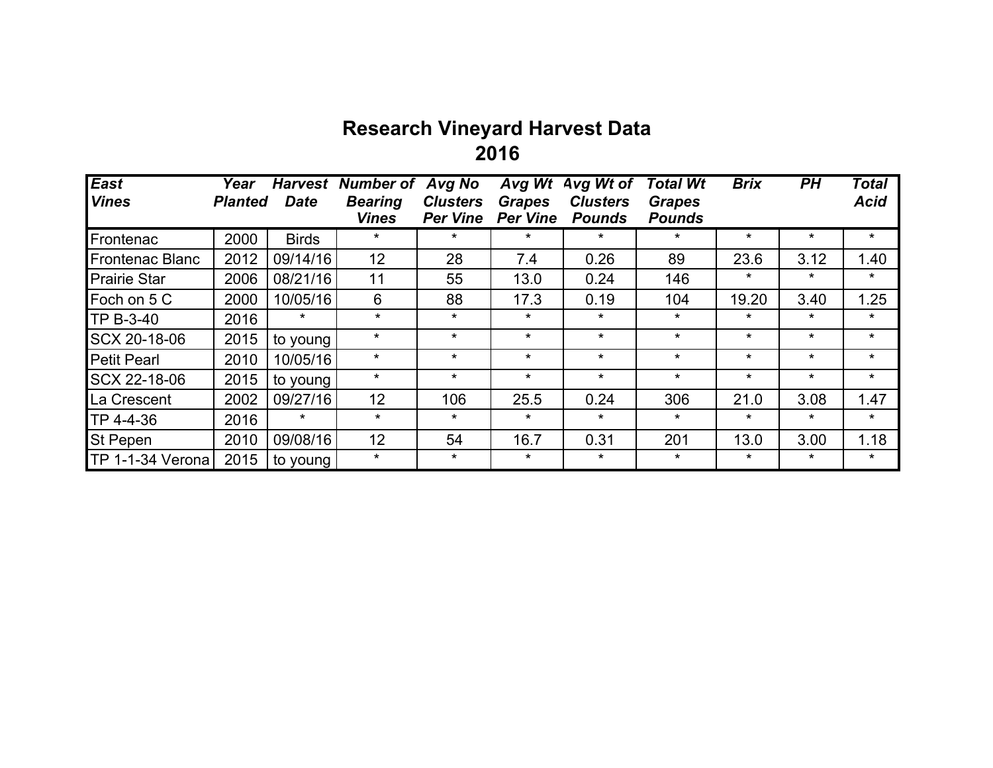## **Research Vineyard Harvest Data 2016**

| East                   | Year           | <b>Harvest</b> | <b>Number of</b>               | Avg No                             | Avg Wt                           | Avg Wt of                        | <b>Total Wt</b>                | <b>Brix</b> | PН       | <b>Total</b> |
|------------------------|----------------|----------------|--------------------------------|------------------------------------|----------------------------------|----------------------------------|--------------------------------|-------------|----------|--------------|
| <b>Vines</b>           | <b>Planted</b> | <b>Date</b>    | <b>Bearing</b><br><b>Vines</b> | <b>Clusters</b><br><b>Per Vine</b> | <b>Grapes</b><br><b>Per Vine</b> | <b>Clusters</b><br><b>Pounds</b> | <b>Grapes</b><br><b>Pounds</b> |             |          | <b>Acid</b>  |
| Frontenac              | 2000           | <b>Birds</b>   | $\star$                        | $\star$                            | $\star$                          | $\star$                          | $\star$                        | $\star$     | $\star$  | $\star$      |
| <b>Frontenac Blanc</b> | 2012           | 09/14/16       | 12 <sub>2</sub>                | 28                                 | 7.4                              | 0.26                             | 89                             | 23.6        | 3.12     | 1.40         |
| <b>Prairie Star</b>    | 2006           | 08/21/16       | 11                             | 55                                 | 13.0                             | 0.24                             | 146                            | $\star$     | $\star$  | $\star$      |
| Foch on 5 C            | 2000           | 10/05/16       | 6                              | 88                                 | 17.3                             | 0.19                             | 104                            | 19.20       | 3.40     | 1.25         |
| TP B-3-40              | 2016           | $\star$        | $\star$                        | $\star$                            | $\star$                          | $\star$                          | $\star$                        | $\star$     | $\star$  | $\star$      |
| SCX 20-18-06           | 2015           | to young       | $\star$                        | $\star$                            | $\star$                          | $\star$                          | $\star$                        | $\star$     | $\star$  | $\star$      |
| <b>Petit Pearl</b>     | 2010           | 10/05/16       | $\star$                        | $\star$                            | $\star$                          | $\star$                          | $\star$                        | $\star$     | $\star$  | $\star$      |
| SCX 22-18-06           | 2015           | to young       | $\star$                        | $\star$                            | $\star$                          | $\star$                          | $\star$                        | $\star$     | $\star$  | $\star$      |
| La Crescent            | 2002           | 09/27/16       | 12                             | 106                                | 25.5                             | 0.24                             | 306                            | 21.0        | 3.08     | 1.47         |
| TP 4-4-36              | 2016           | $\ast$         | $\star$                        | $\star$                            | $\star$                          | $\star$                          | $\star$                        | $\ast$      | $^\star$ | $\star$      |
| <b>St Pepen</b>        | 2010           | 09/08/16       | 12                             | 54                                 | 16.7                             | 0.31                             | 201                            | 13.0        | 3.00     | 1.18         |
| TP 1-1-34 Verona       | 2015           | to young       | $\star$                        | $\star$                            | $\ast$                           | $^\star$                         | $\star$                        | $\ast$      | $\star$  | $\star$      |